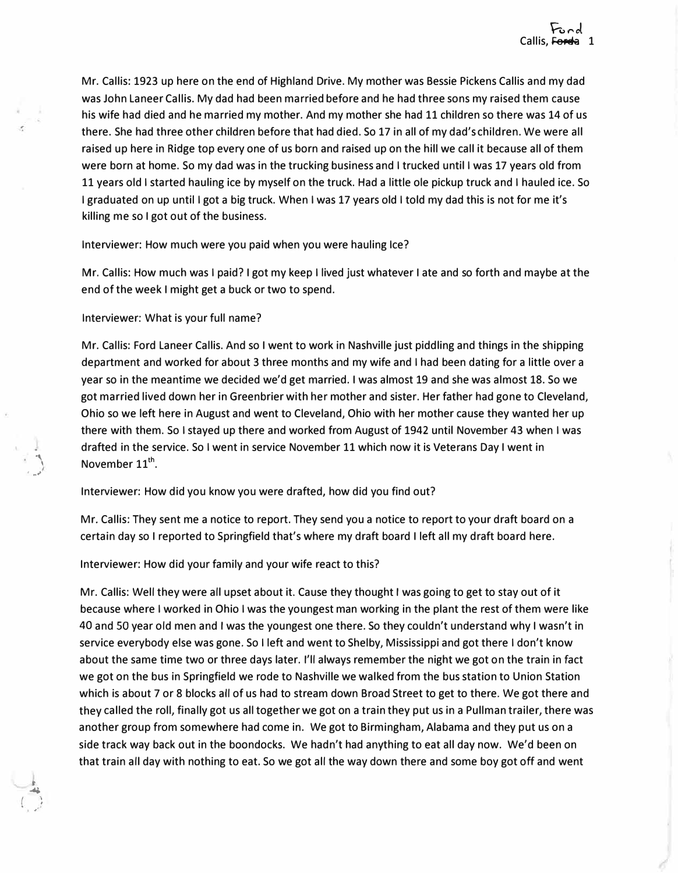Mr. Callis: 1923 up here on the end of Highland Drive. My mother was Bessie Pickens Callis and my dad was John Laneer Callis. My dad had been married before and he had three sons my raised them cause his wife had died and he married my mother. And my mother she had 11 children so there was 14 of us there. She had three other children before that had died. So 17 in all of my dad's children. We were all raised up here in Ridge top every one of us born and raised up on the hill we call it because all of them were born at home. So my dad was in the trucking business and I trucked until I was 17 years old from 11 years old I started hauling ice by myself on the truck. Had a little ole pickup truck and I hauled ice. So I graduated on up until I got a big truck. When I was 17 years old I told my dad this is not for me it's killing me so I got out of the business.

Interviewer: How much were you paid when you were hauling Ice?

Mr. Callis: How much was I paid? I got my keep I lived just whatever I ate and so forth and maybe at the end of the week I might get a buck or two to spend.

Interviewer: What is your full name?

' �"

**t**  " .  $\mathbf{r}_{0}$  ,  $\mathbf{r}^{\prime}$ 

Mr. Callis: Ford Laneer Callis. And so I went to work in Nashville just piddling and things in the shipping department and worked for about 3 three months and my wife and I had been dating for a little over a year so in the meantime we decided we'd get married. I was almost 19 and she was almost 18. So we got married lived down her in Greenbrier with her mother and sister. Her father had gone to Cleveland, Ohio so we left here in August and went to Cleveland, Ohio with her mother cause they wanted her up there with them. So I stayed up there and worked from August of 1942 until November 43 when I was drafted in the service. So I went in service November 11 which now it is Veterans Day I went in arafied in the set  $\sum_{n=1}^{\infty}$  November 11<sup>th</sup>.

Interviewer: How did you know you were drafted, how did you find out?

Mr. Callis: They sent me a notice to report. They send you a notice to report to your draft board on a certain day so I reported to Springfield that's where my draft board I left all my draft board here.

Interviewer: How did your family and your wife react to this?

Mr. Callis: Well they were all upset about it. Cause they thought I was going to get to stay out of it because where I worked in Ohio I was the youngest man working in the plant the rest of them were like 40 and SO year old men and I was the youngest one there. So they couldn't understand why I wasn't in service everybody else was gone. So I left and went to Shelby, Mississippi and got there I don't know about the same time two or three days later. I'll always remember the night we got on the train in fact we got on the bus in Springfield we rode to Nashville we walked from the bus station to Union Station which is about 7 or 8 blocks all of us had to stream down Broad Street to get to there. We got there and they called the roll, finally got us all together we got on a train they put us in a Pullman trailer, there was another group from somewhere had come in. We got to Birmingham, Alabama and they put us on a side track way back out in the boondocks. We hadn't had anything to eat all day now. We'd been on that train all day with nothing to eat. So we got all the way down there and some boy got off and went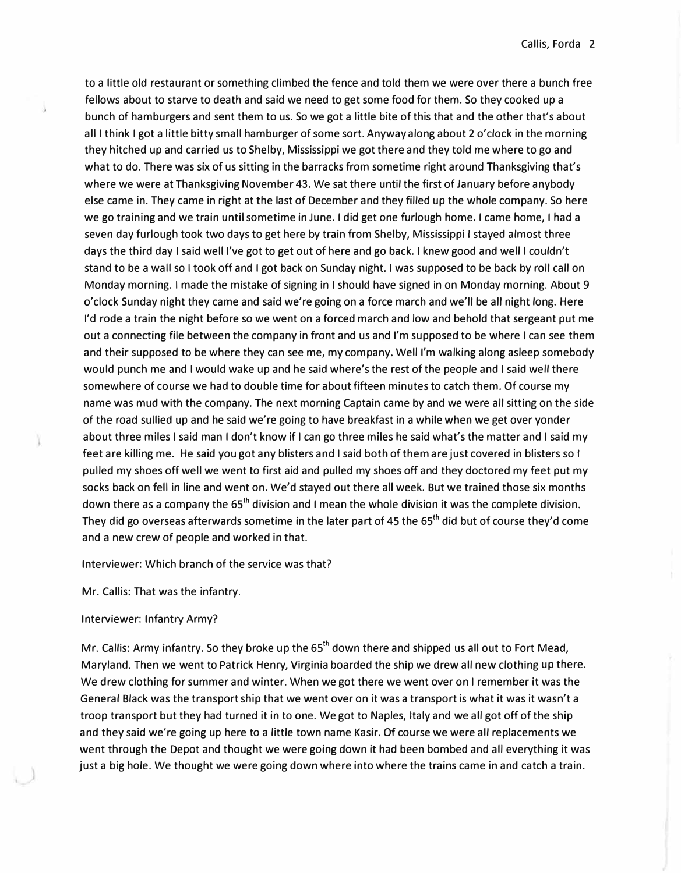to a little old restaurant or something climbed the fence and told them we were over there a bunch free fellows about to starve to death and said we need to get some food for them. So they cooked up a bunch of hamburgers and sent them to us. So we got a little bite of this that and the other that's about all I think I got a little bitty small hamburger of some sort. Anyway along about 2 o'clock in the morning they hitched up and carried us to Shelby, Mississippi we got there and they told me where to go and what to do. There was six of us sitting in the barracks from sometime right around Thanksgiving that's where we were at Thanksgiving November 43. We sat there until the first of January before anybody else came in. They came in right at the last of December and they filled up the whole company. So here we go training and we train until sometime in June. I did get one furlough home. I came home, I had a seven day furlough took two days to get here by train from Shelby, Mississippi I stayed almost three days the third day I said well I've got to get out of here and go back. I knew good and well I couldn't stand to be a wall so I took off and I got back on Sunday night. I was supposed to be back by roll call on Monday morning. I made the mistake of signing in I should have signed in on Monday morning. About 9 o'clock Sunday night they came and said we're going on a force march and we'll be all night long. Here I'd rode a train the night before so we went on a forced march and low and behold that sergeant put me out a connecting file between the company in front and us and I'm supposed to be where I can see them and their supposed to be where they can see me, my company. Well I'm walking along asleep somebody would punch me and I would wake up and he said where's the rest of the people and I said well there somewhere of course we had to double time for about fifteen minutes to catch them. Of course my name was mud with the company. The next morning Captain came by and we were all sitting on the side of the road sullied up and he said we're going to have breakfast in a while when we get over yonder about three miles I said man I don't know if I can go three miles he said what's the matter and I said my feet are killing me. He said you got any blisters and I said both of them are just covered in blisters so I pulled my shoes off well we went to first aid and pulled my shoes off and they doctored my feet put my socks back on fell in line and went on. We'd stayed out there all week. But we trained those six months down there as a company the  $65<sup>th</sup>$  division and I mean the whole division it was the complete division. They did go overseas afterwards sometime in the later part of 45 the 65<sup>th</sup> did but of course they'd come and a new crew of people and worked in that.

Interviewer: Which branch of the service was that?

Mr. Callis: That was the infantry.

# Interviewer: Infantry Army?

Mr. Callis: Army infantry. So they broke up the  $65<sup>th</sup>$  down there and shipped us all out to Fort Mead, Maryland. Then we went to Patrick Henry, Virginia boarded the ship we drew all new clothing up there. We drew clothing for summer and winter. When we got there we went over on I remember it was the General Black was the transport ship that we went over on it was a transport is what it was it wasn't a troop transport but they had turned it in to one. We got to Naples, Italy and we all got off of the ship and they said we're going up here to a little town name Kasir. Of course we were all replacements we went through the Depot and thought we were going down it had been bombed and all everything it was just a big hole. We thought we were going down where into where the trains came in and catch a train.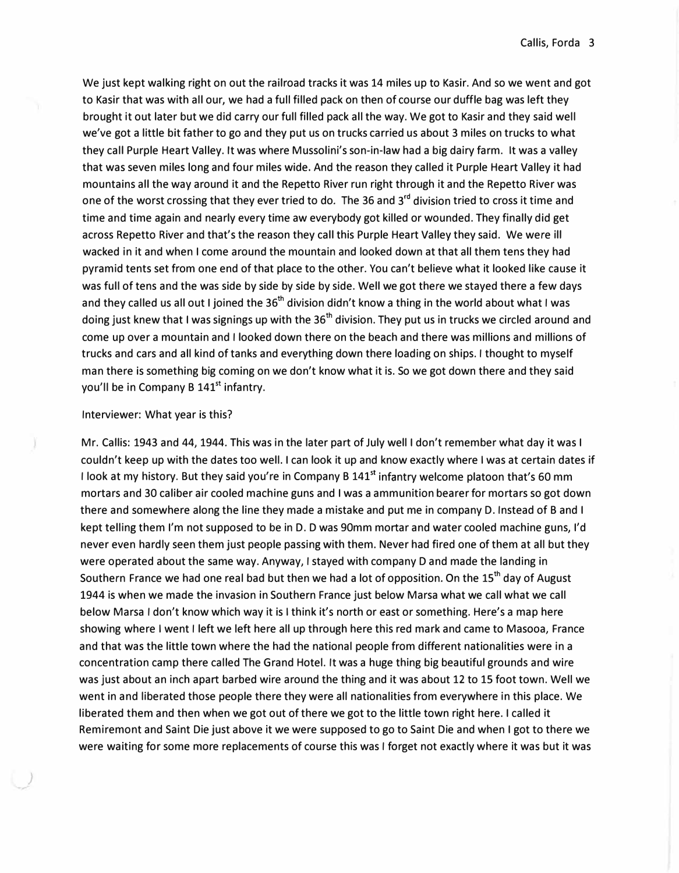We just kept walking right on out the railroad tracks it was 14 miles up to Kasir. And so we went and got to Kasir that was with all our, we had a full filled pack on then of course our duffle bag was left they brought it out later but we did carry our full filled pack all the way. We got to Kasir and they said well we've got a little bit father to go and they put us on trucks carried us about 3 miles on trucks to what they call Purple Heart Valley. It was where Mussolini's son-in-law had a big dairy farm. It was a valley that was seven miles long and four miles wide. And the reason they called it Purple Heart Valley it had mountains all the way around it and the Repetto River run right through it and the Repetto River was one of the worst crossing that they ever tried to do. The 36 and 3<sup>rd</sup> division tried to cross it time and time and time again and nearly every time aw everybody got killed or wounded. They finally did get across Repetto River and that's the reason they call this Purple Heart Valley they said. We were ill wacked in it and when I come around the mountain and looked down at that all them tens they had pyramid tents set from one end of that place to the other. You can't believe what it looked like cause it was full of tens and the was side by side by side by side. Well we got there we stayed there a few days and they called us all out I joined the 36<sup>th</sup> division didn't know a thing in the world about what I was doing just knew that I was signings up with the  $36<sup>th</sup>$  division. They put us in trucks we circled around and come up over a mountain and I looked down there on the beach and there was millions and millions of trucks and cars and all kind of tanks and everything down there loading on ships. I thought to myself man there is something big coming on we don't know what it is. So we got down there and they said you'll be in Company B 141<sup>st</sup> infantry.

# Interviewer: What year is this?

*)* 

Mr. Callis: 1943 and 44, 1944. This was in the later part of July well I don't remember what day it was I couldn't keep up with the dates too well. I can look it up and know exactly where I was at certain dates if I look at my history. But they said you're in Company B 141<sup>st</sup> infantry welcome platoon that's 60 mm mortars and 30 caliber air cooled machine guns and I was a ammunition bearer for mortars so got down there and somewhere along the line they made a mistake and put me in company D. Instead of B and I kept telling them I'm not supposed to be in D. D was 90mm mortar and water cooled machine guns, I'd never even hardly seen them just people passing with them. Never had fired one of them at all but they were operated about the same way. Anyway, I stayed with company D and made the landing in Southern France we had one real bad but then we had a lot of opposition. On the 15<sup>th</sup> day of August 1944 is when we made the invasion in Southern France just below Marsa what we call what we call below Marsa I don't know which way it is I think it's north or east or something. Here's a map here showing where I went I left we left here all up through here this red mark and came to Masooa, France and that was the little town where the had the national people from different nationalities were in a concentration camp there called The Grand Hotel. It was a huge thing big beautiful grounds and wire was just about an inch apart barbed wire around the thing and it was about 12 to 15 foot town. Well we went in and liberated those people there they were all nationalities from everywhere in this place. We liberated them and then when we got out of there we got to the little town right here. I called it Remiremont and Saint Die just above it we were supposed to go to Saint Die and when I got to there we were waiting for some more replacements of course this was I forget not exactly where it was but it was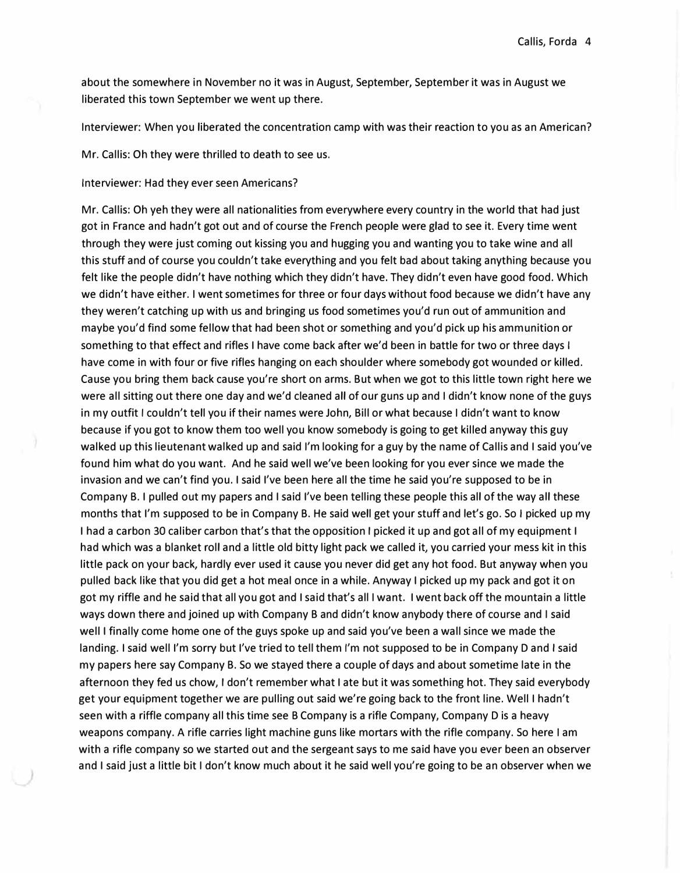about the somewhere in November no it was in August, September, September it was in August we liberated this town September we went up there.

Interviewer: When you liberated the concentration camp with was their reaction to you as an American?

Mr. Callis: Oh they were thrilled to death to see us.

Interviewer: Had they ever seen Americans?

Mr. Callis: Oh yeh they were all nationalities from everywhere every country in the world that had just got in France and hadn't got out and of course the French people were glad to see it. Every time went through they were just coming out kissing you and hugging you and wanting you to take wine and all this stuff and of course you couldn't take everything and you felt bad about taking anything because you felt like the people didn't have nothing which they didn't have. They didn't even have good food. Which we didn't have either. I went sometimes for three or four days without food because we didn't have any they weren't catching up with us and bringing us food sometimes you'd run out of ammunition and maybe you'd find some fellow that had been shot or something and you'd pick up his ammunition or something to that effect and rifles I have come back after we'd been in battle for two or three days I have come in with four or five rifles hanging on each shoulder where somebody got wounded or killed. Cause you bring them back cause you're short on arms. But when we got to this little town right here we were all sitting out there one day and we'd cleaned all of our guns up and I didn't know none of the guys in my outfit I couldn't tell you if their names were John, Bill or what because I didn't want to know because if you got to know them too well you know somebody is going to get killed anyway this guy walked up this lieutenant walked up and said I'm looking for a guy by the name of Callis and I said you've found him what do you want. And he said well we've been looking for you ever since we made the invasion and we can't find you. I said I've been here all the time he said you're supposed to be in Company B. I pulled out my papers and I said I've been telling these people this all of the way all these months that I'm supposed to be in Company B. He said well get your stuff and let's go. So I picked up my I had a carbon 30 caliber carbon that's that the opposition I picked it up and got all of my equipment I had which was a blanket roll and a little old bitty light pack we called it, you carried your mess kit in this little pack on your back, hardly ever used it cause you never did get any hot food. But anyway when you pulled back like that you did get a hot meal once in a while. Anyway I picked up my pack and got it on got my riffle and he said that all you got and I said that's all I want. I went back off the mountain a little ways down there and joined up with Company B and didn't know anybody there of course and I said well I finally come home one of the guys spoke up and said you've been a wall since we made the landing. I said well I'm sorry but I've tried to tell them I'm not supposed to be in Company D and I said my papers here say Company B. So we stayed there a couple of days and about sometime late in the afternoon they fed us chow, I don't remember what I ate but it was something hot. They said everybody get your equipment together we are pulling out said we're going back to the front line. Well I hadn't seen with a riffle company all this time see B Company is a rifle Company, Company D is a heavy weapons company. A rifle carries light machine guns like mortars with the rifle company. So here I am with a rifle company so we started out and the sergeant says to me said have you ever been an observer and I said just a little bit I don't know much about it he said well you're going to be an observer when we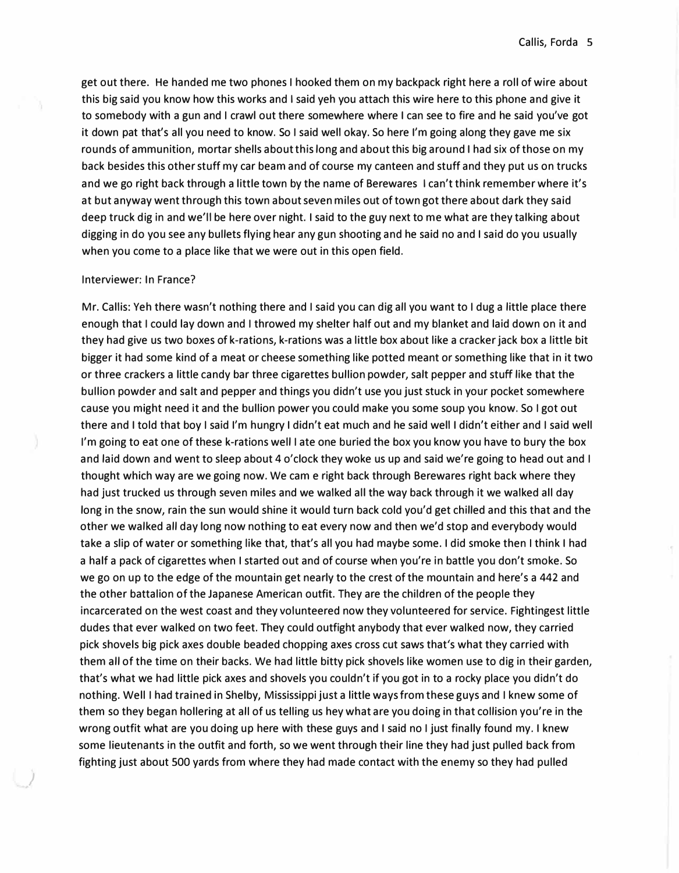get out there. He handed me two phones I hooked them on my backpack right here a roll of wire about this big said you know how this works and I said yeh you attach this wire here to this phone and give it to somebody with a gun and I crawl out there somewhere where I can see to fire and he said you've got it down pat that's all you need to know. So I said well okay. So here I'm going along they gave me six rounds of ammunition, mortar shells about this long and about this big around I had six of those on my back besides this other stuff my car beam and of course my canteen and stuff and they put us on trucks and we go right back through a little town by the name of Berewares I can't think remember where it's at but anyway went through this town about seven miles out of town got there about dark they said deep truck dig in and we'll be here over night. I said to the guy next to me what are they talking about digging in do you see any bullets flying hear any gun shooting and he said no and I said do you usually when you come to a place like that we were out in this open field.

# Interviewer: In France?

*)* 

Mr. Callis: Yeh there wasn't nothing there and I said you can dig all you want to I dug a little place there enough that I could lay down and I throwed my shelter half out and my blanket and laid down on it and they had give us two boxes of k-rations, k-rations was a little box about like a cracker jack box a little bit bigger it had some kind of a meat or cheese something like potted meant or something like that in it two or three crackers a little candy bar three cigarettes bullion powder, salt pepper and stuff like that the bullion powder and salt and pepper and things you didn't use you just stuck in your pocket somewhere cause you might need it and the bullion power you could make you some soup you know. So I got out there and I told that boy I said I'm hungry I didn't eat much and he said well I didn't either and I said well I'm going to eat one of these k-rations well I ate one buried the box you know you have to bury the box and laid down and went to sleep about 4 o'clock they woke us up and said we're going to head out and I thought which way are we going now. We cam e right back through Berewares right back where they had just trucked us through seven miles and we walked all the way back through it we walked all day long in the snow, rain the sun would shine it would turn back cold you'd get chilled and this that and the other we walked all day long now nothing to eat every now and then we'd stop and everybody would take a slip of water or something like that, that's all you had maybe some. I did smoke then I think I had a half a pack of cigarettes when I started out and of course when you're in battle you don't smoke. So we go on up to the edge of the mountain get nearly to the crest of the mountain and here's a 442 and the other battalion of the Japanese American outfit. They are the children of the people they incarcerated on the west coast and they volunteered now they volunteered for service. Fightingest little dudes that ever walked on two feet. They could outfight anybody that ever walked now, they carried pick shovels big pick axes double beaded chopping axes cross cut saws that's what they carried with them all of the time on their backs. We had little bitty pick shovels like women use to dig in their garden, that's what we had little pick axes and shovels you couldn't if you got in to a rocky place you didn't do nothing. Well I had trained in Shelby, Mississippi just a little ways from these guys and I knew some of them so they began hollering at all of us telling us hey what are you doing in that collision you're in the wrong outfit what are you doing up here with these guys and I said no I just finally found my. I knew some lieutenants in the outfit and forth, so we went through their line they had just pulled back from fighting just about 500 yards from where they had made contact with the enemy so they had pulled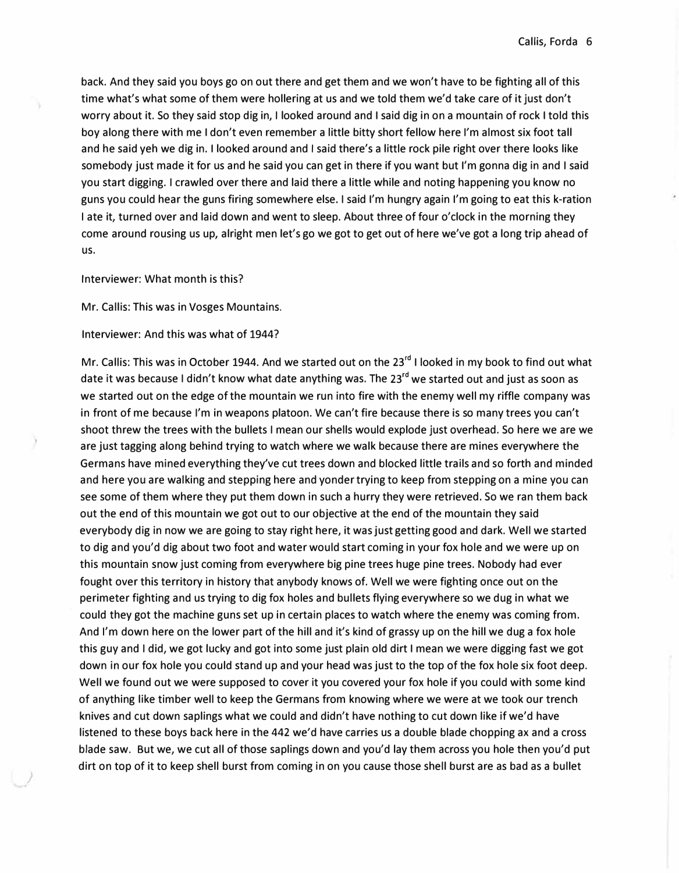back. And they said you boys go on out there and get them and we won't have to be fighting all of this time what's what some of them were hollering at us and we told them we'd take care of it just don't worry about it. So they said stop dig in, I looked around and I said dig in on a mountain of rock I told this boy along there with me I don't even remember a little bitty short fellow here I'm almost six foot tall and he said yeh we dig in. I looked around and I said there's a little rock pile right over there looks like somebody just made it for us and he said you can get in there if you want but I'm gonna dig in and I said you start digging. I crawled over there and laid there a little while and noting happening you know no guns you could hear the guns firing somewhere else. I said I'm hungry again I'm going to eat this k-ration I ate it, turned over and laid down and went to sleep. About three of four o'clock in the morning they come around rousing us up, alright men let's go we got to get out of here we've got a long trip ahead of us.

Interviewer: What month is this?

*)* 

Mr. Callis: This was in Vosges Mountains.

Interviewer: And this was what of 1944?

Mr. Callis: This was in October 1944. And we started out on the 23<sup>rd</sup> I looked in my book to find out what date it was because I didn't know what date anything was. The 23<sup>rd</sup> we started out and just as soon as we started out on the edge of the mountain we run into fire with the enemy well my riffle company was in front of me because I'm in weapons platoon. We can't fire because there is so many trees you can't shoot threw the trees with the bullets I mean our shells would explode just overhead. So here we are we are just tagging along behind trying to watch where we walk because there are mines everywhere the Germans have mined everything they've cut trees down and blocked little trails and so forth and minded and here you are walking and stepping here and yonder trying to keep from stepping on a mine you can see some of them where they put them down in such a hurry they were retrieved. So we ran them back out the end of this mountain we got out to our objective at the end of the mountain they said everybody dig in now we are going to stay right here, it was just getting good and dark. Well we started to dig and you'd dig about two foot and water would start coming in your fox hole and we were up on this mountain snow just coming from everywhere big pine trees huge pine trees. Nobody had ever fought over this territory in history that anybody knows of. Well we were fighting once out on the perimeter fighting and us trying to dig fox holes and bullets flying everywhere so we dug in what we could they got the machine guns set up in certain places to watch where the enemy was coming from. And I'm down here on the lower part of the hill and it's kind of grassy up on the hill we dug a fox hole this guy and I did, we got lucky and got into some just plain old dirt I mean we were digging fast we got down in our fox hole you could stand up and your head was just to the top of the fox hole six foot deep. Well we found out we were supposed to cover it you covered your fox hole if you could with some kind of anything like timber well to keep the Germans from knowing where we were at we took our trench knives and cut down saplings what we could and didn't have nothing to cut down like if we'd have listened to these boys back here in the 442 we'd have carries us a double blade chopping ax and a cross blade saw. But we, we cut all of those saplings down and you'd lay them across you hole then you'd put dirt on top of it to keep shell burst from coming in on you cause those shell burst are as bad as a bullet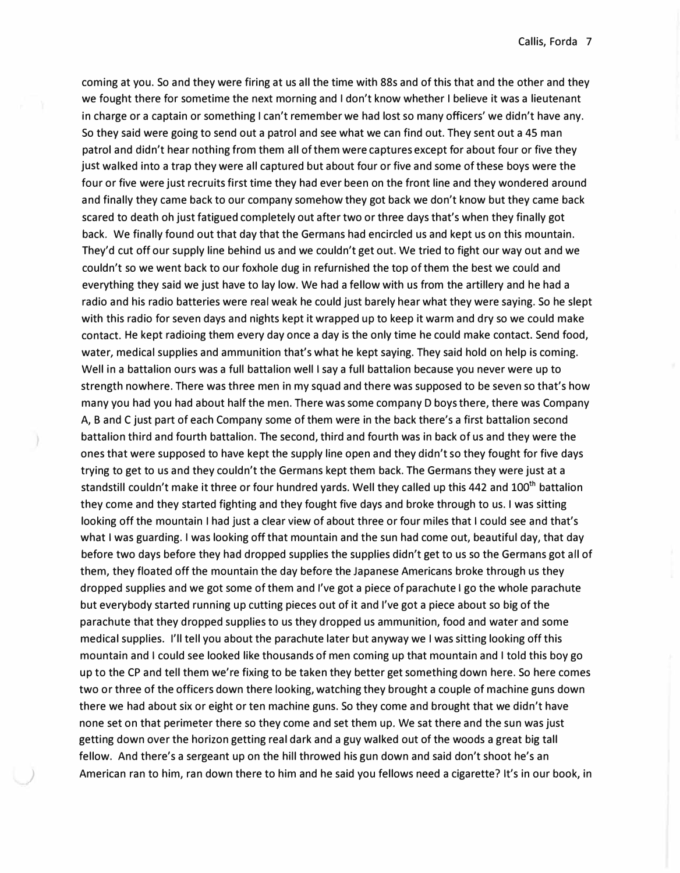coming at you. So and they were firing at us all the time with 88s and of this that and the other and they we fought there for sometime the next morning and I don't know whether I believe it was a lieutenant in charge or a captain or something I can't remember we had lost so many officers' we didn't have any. So they said were going to send out a patrol and see what we can find out. They sent out a 45 man patrol and didn't hear nothing from them all of them were captures except for about four or five they just walked into a trap they were all captured but about four or five and some of these boys were the four or five were just recruits first time they had ever been on the front line and they wondered around and finally they came back to our company somehow they got back we don't know but they came back scared to death oh just fatigued completely out after two or three days that's when they finally got back. We finally found out that day that the Germans had encircled us and kept us on this mountain. They'd cut off our supply line behind us and we couldn't get out. We tried to fight our way out and we couldn't so we went back to our foxhole dug in refurnished the top of them the best we could and everything they said we just have to lay low. We had a fellow with us from the artillery and he had a radio and his radio batteries were real weak he could just barely hear what they were saying. So he slept with this radio for seven days and nights kept it wrapped up to keep it warm and dry so we could make contact. He kept radioing them every day once a day is the only time he could make contact. Send food, water, medical supplies and ammunition that's what he kept saying. They said hold on help is coming. Well in a battalion ours was a full battalion well I say a full battalion because you never were up to strength nowhere. There was three men in my squad and there was supposed to be seven so that's how many you had you had about half the men. There was some company D boys there, there was Company A, B and C just part of each Company some of them were in the back there's a first battalion second battalion third and fourth battalion. The second, third and fourth was in back of us and they were the ones that were supposed to have kept the supply line open and they didn't so they fought for five days trying to get to us and they couldn't the Germans kept them back. The Germans they were just at a standstill couldn't make it three or four hundred yards. Well they called up this 442 and 100<sup>th</sup> battalion they come and they started fighting and they fought five days and broke through to us. I was sitting looking off the mountain I had just a clear view of about three or four miles that I could see and that's what I was guarding. I was looking off that mountain and the sun had come out, beautiful day, that day before two days before they had dropped supplies the supplies didn't get to us so the Germans got all of them, they floated off the mountain the day before the Japanese Americans broke through us they dropped supplies and we got some of them and I've got a piece of parachute I go the whole parachute but everybody started running up cutting pieces out of it and I've got a piece about so big of the parachute that they dropped supplies to us they dropped us ammunition, food and water and some medical supplies. I'll tell you about the parachute later but anyway we I was sitting looking off this mountain and I could see looked like thousands of men coming up that mountain and I told this boy go up to the CP and tell them we're fixing to be taken they better get something down here. So here comes two or three of the officers down there looking, watching they brought a couple of machine guns down there we had about six or eight or ten machine guns. So they come and brought that we didn't have none set on that perimeter there so they come and set them up. We sat there and the sun was just getting down over the horizon getting real dark and a guy walked out of the woods a great big tall fellow. And there's a sergeant up on the hill throwed his gun down and said don't shoot he's an ) American ran to him, ran down there to him and he said you fellows need a cigarette? It's in our book, in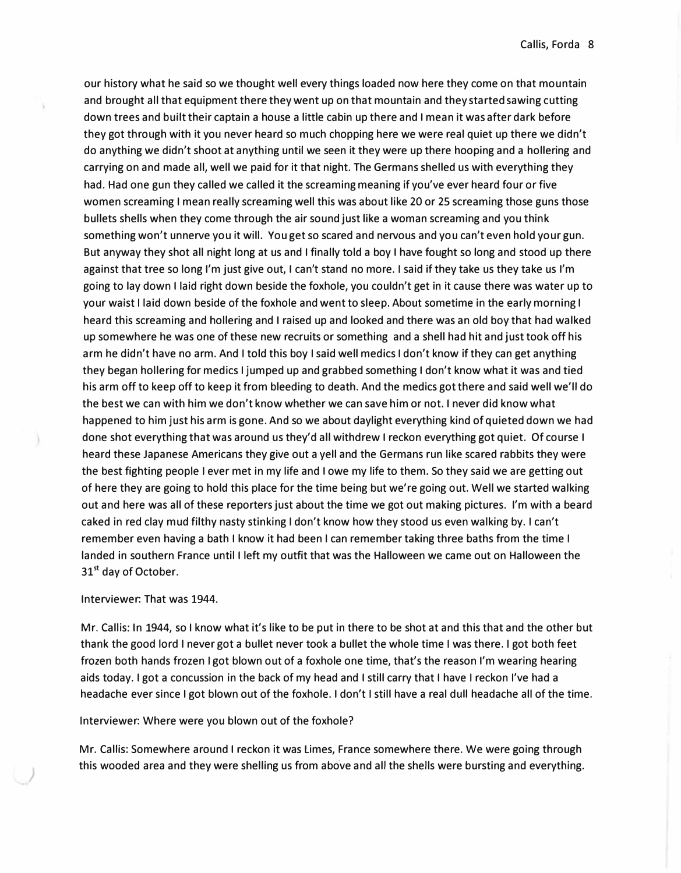our history what he said so we thought well every things loaded now here they come on that mountain and brought all that equipment there they went up on that mountain and they started sawing cutting down trees and built their captain a house a little cabin up there and I mean it was after dark before they got through with it you never heard so much chopping here we were real quiet up there we didn't do anything we didn't shoot at anything until we seen it they were up there hooping and a hollering and carrying on and made all, well we paid for it that night. The Germans shelled us with everything they had. Had one gun they called we called it the screaming meaning if you've ever heard four or five women screaming I mean really screaming well this was about like 20 or 25 screaming those guns those bullets shells when they come through the air sound just like a woman screaming and you think something won't unnerve you it will. You get so scared and nervous and you can't even hold your gun. But anyway they shot all night long at us and I finally told a boy I have fought so long and stood up there against that tree so long I'm just give out, I can't stand no more. I said if they take us they take us I'm going to lay down I laid right down beside the foxhole, you couldn't get in it cause there was water up to your waist I laid down beside of the foxhole and went to sleep. About sometime in the early morning I heard this screaming and hollering and I raised up and looked and there was an old boy that had walked up somewhere he was one of these new recruits or something and a shell had hit and just took off his arm he didn't have no arm. And I told this boy I said well medics I don't know if they can get anything they began hollering for medics I jumped up and grabbed something I don't know what it was and tied his arm off to keep off to keep it from bleeding to death. And the medics got there and said well we'll do the best we can with him we don't know whether we can save him or not. I never did know what happened to him just his arm is gone. And so we about daylight everything kind of quieted down we had done shot everything that was around us they'd all withdrew I reckon everything got quiet. Of course I heard these Japanese Americans they give out a yell and the Germans run like scared rabbits they were the best fighting people I ever met in my life and I owe my life to them. So they said we are getting out of here they are going to hold this place for the time being but we're going out. Well we started walking out and here was all of these reporters just about the time we got out making pictures. I'm with a beard caked in red clay mud filthy nasty stinking I don't know how they stood us even walking by. I can't remember even having a bath I know it had been I can remember taking three baths from the time I landed in southern France until I left my outfit that was the Halloween we came out on Halloween the 31<sup>st</sup> day of October.

# Interviewer: That was 1944.

*)* 

Mr. Callis: In 1944, so I know what it's like to be put in there to be shot at and this that and the other but thank the good lord I never got a bullet never took a bullet the whole time I was there. I got both feet frozen both hands frozen I got blown out of a foxhole one time, that's the reason I'm wearing hearing aids today. I got a concussion in the back of my head and I still carry that I have I reckon I've had a headache ever since I got blown out of the foxhole. I don't I still have a real dull headache all of the time.

# Interviewer: Where were you blown out of the foxhole?

Mr. Callis: Somewhere around I reckon it was limes, France somewhere there. We were going through this wooded area and they were shelling us from above and all the shells were bursting and everything.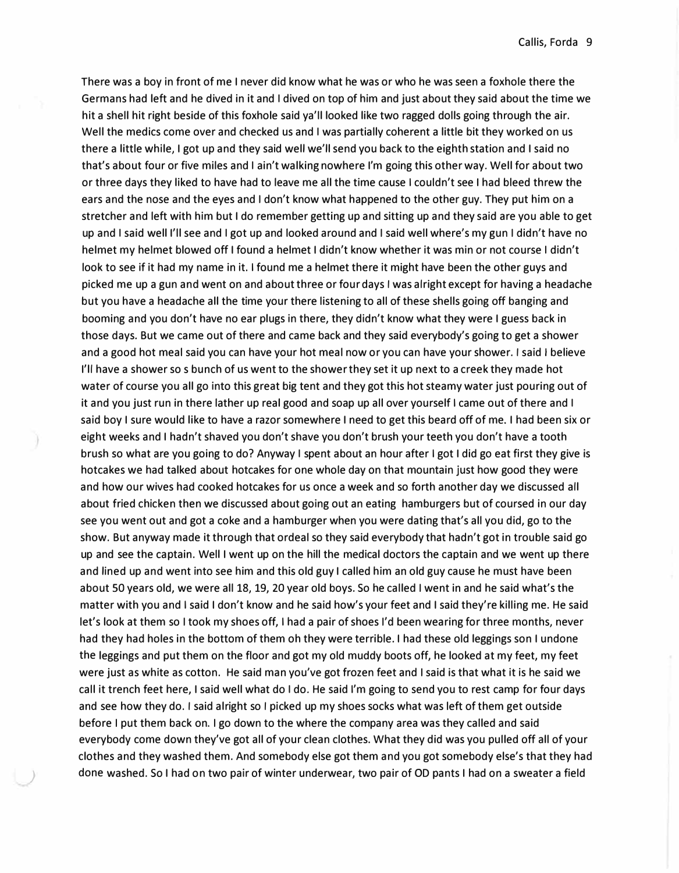There was a boy in front of me I never did know what he was or who he was seen a foxhole there the Germans had left and he dived in it and I dived on top of him and just about they said about the time we hit a shell hit right beside of this foxhole said ya'll looked like two ragged dolls going through the air. Well the medics come over and checked us and I was partially coherent a little bit they worked on us there a little while, I got up and they said well we'll send you back to the eighth station and I said no that's about four or five miles and I ain't walking nowhere I'm going this other way. Well for about two or three days they liked to have had to leave me all the time cause I couldn't see I had bleed threw the ears and the nose and the eyes and I don't know what happened to the other guy. They put him on a stretcher and left with him but I do remember getting up and sitting up and they said are you able to get up and I said well I'll see and I got up and looked around and I said well where's my gun I didn't have no helmet my helmet blowed off I found a helmet I didn't know whether it was min or not course I didn't look to see if it had my name in it. I found me a helmet there it might have been the other guys and picked me up a gun and went on and about three or four days I was alright except for having a headache but you have a headache all the time your there listening to all of these shells going off banging and booming and you don't have no ear plugs in there, they didn't know what they were I guess back in those days. But we came out of there and came back and they said everybody's going to get a shower and a good hot meal said you can have your hot meal now or you can have your shower. I said I believe I'll have a shower so s bunch of us went to the shower they set it up next to a creek they made hot water of course you all go into this great big tent and they got this hot steamy water just pouring out of it and you just run in there lather up real good and soap up all over yourself I came out of there and I said boy I sure would like to have a razor somewhere I need to get this beard off of me. I had been six or eight weeks and I hadn't shaved you don't shave you don't brush your teeth you don't have a tooth brush so what are you going to do? Anyway I spent about an hour after I got I did go eat first they give is hotcakes we had talked about hotcakes for one whole day on that mountain just how good they were and how our wives had cooked hotcakes for us once a week and so forth another day we discussed all about fried chicken then we discussed about going out an eating hamburgers but of coursed in our day see you went out and got a coke and a hamburger when you were dating that's all you did, go to the show. But anyway made it through that ordeal so they said everybody that hadn't got in trouble said go up and see the captain. Well I went up on the hill the medical doctors the captain and we went up there and lined up and went into see him and this old guy I called him an old guy cause he must have been about 50 years old, we were all 18, 19, 20 year old boys. So he called I went in and he said what's the matter with you and I said I don't know and he said how's your feet and I said they're killing me. He said let's look at them so I took my shoes off, I had a pair of shoes I'd been wearing for three months, never had they had holes in the bottom of them oh they were terrible. I had these old leggings son I undone the leggings and put them on the floor and got my old muddy boots off, he looked at my feet, my feet were just as white as cotton. He said man you've got frozen feet and I said is that what it is he said we call it trench feet here, I said well what do I do. He said I'm going to send you to rest camp for four days and see how they do. I said alright so I picked up my shoes socks what was left of them get outside before I put them back on. I go down to the where the company area was they called and said everybody come down they've got all of your clean clothes. What they did was you pulled off all of your clothes and they washed them. And somebody else got them and you got somebody else's that they had ) done washed. So I had on two pair of winter underwear, two pair of OD pants I had on a sweater a field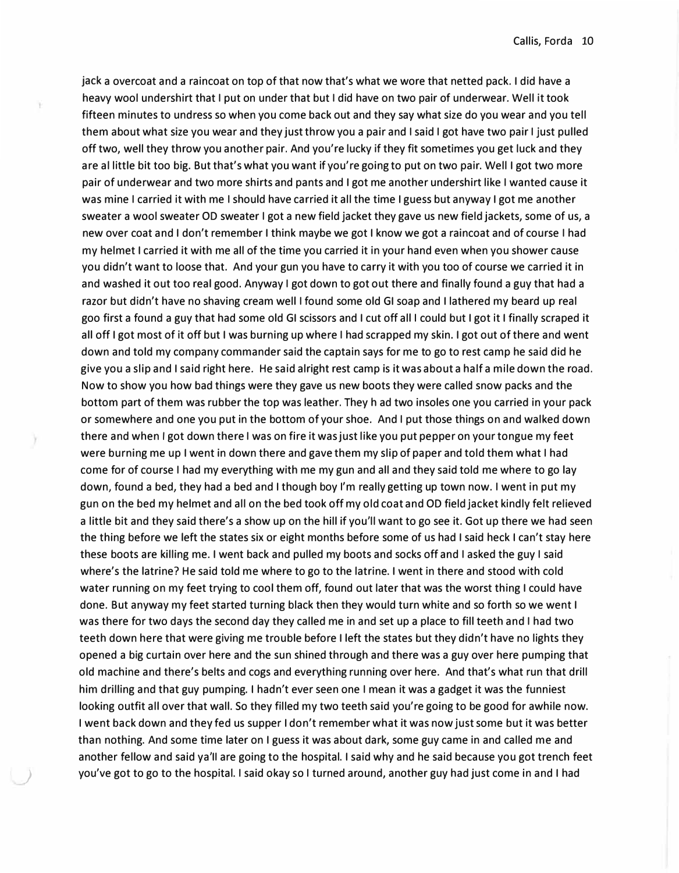jack a overcoat and a raincoat on top of that now that's what we wore that netted pack. I did have a heavy wool undershirt that I put on under that but I did have on two pair of underwear. Well it took fifteen minutes to undress so when you come back out and they say what size do you wear and you tell them about what size you wear and they just throw you a pair and I said I got have two pair I just pulled off two, well they throw you another pair. And you're lucky if they fit sometimes you get luck and they are al little bit too big. But that's what you want if you're going to put on two pair. Well I got two more pair of underwear and two more shirts and pants and I got me another undershirt like I wanted cause it was mine I carried it with me I should have carried it all the time I guess but anyway I got me another sweater a wool sweater OD sweater I got a new field jacket they gave us new field jackets, some of us, a new over coat and I don't remember I think maybe we got I know we got a raincoat and of course I had my helmet I carried it with me all of the time you carried it in your hand even when you shower cause you didn't want to loose that. And your gun you have to carry it with you too of course we carried it in and washed it out too real good. Anyway I got down to got out there and finally found a guy that had a razor but didn't have no shaving cream well I found some old GI soap and I lathered my beard up real goo first a found a guy that had some old GI scissors and I cut off all I could but I got it I finally scraped it all off I got most of it off but I was burning up where I had scrapped my skin. I got out of there and went down and told my company commander said the captain says for me to go to rest camp he said did he give you a slip and I said right here. He said alright rest camp is it was about a half a mile down the road. Now to show you how bad things were they gave us new boots they were called snow packs and the bottom part of them was rubber the top was leather. They h ad two insoles one you carried in your pack or somewhere and one you put in the bottom of your shoe. And I put those things on and walked down there and when I got down there I was on fire it was just like you put pepper on your tongue my feet were burning me up I went in down there and gave them my slip of paper and told them what I had come for of course I had my everything with me my gun and all and they said told me where to go lay down, found a bed, they had a bed and I though boy I'm really getting up town now. I went in put my gun on the bed my helmet and all on the bed took off my old coat and OD field jacket kindly felt relieved a little bit and they said there's a show up on the hill if you'll want to go see it. Got up there we had seen the thing before we left the states six or eight months before some of us had I said heck I can't stay here these boots are killing me. I went back and pulled my boots and socks off and I asked the guy I said where's the latrine? He said told me where to go to the latrine. I went in there and stood with cold water running on my feet trying to cool them off, found out later that was the worst thing I could have done. But anyway my feet started turning black then they would turn white and so forth so we went I was there for two days the second day they called me in and set up a place to fill teeth and I had two teeth down here that were giving me trouble before I left the states but they didn't have no lights they opened a big curtain over here and the sun shined through and there was a guy over here pumping that old machine and there's belts and cogs and everything running over here. And that's what run that drill him drilling and that guy pumping. I hadn't ever seen one I mean it was a gadget it was the funniest looking outfit all over that wall. So they filled my two teeth said you're going to be good for awhile now. I went back down and they fed us supper I don't remember what it was now just some but it was better than nothing. And some time later on I guess it was about dark, some guy came in and called me and another fellow and said ya'II are going to the hospital. I said why and he said because you got trench feet ) you've got to go to the hospital. I said okay so I turned around, another guy had just come in and I had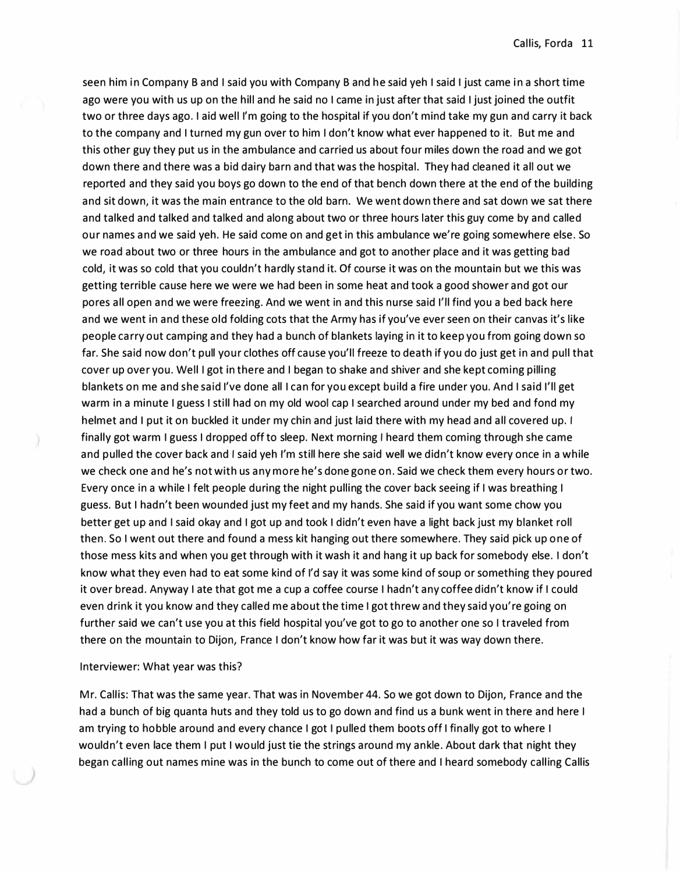seen him in Company B and I said you with Company B and he said yeh I said I just came in a short time ago were you with us up on the hill and he said no I came in just after that said I just joined the outfit two or three days ago. I aid well I'm going to the hospital if you don't mind take my gun and carry it back to the company and I turned my gun over to him I don't know what ever happened to it. But me and this other guy they put us in the ambulance and carried us about four miles down the road and we got down there and there was a bid dairy barn and that was the hospital. They had cleaned it all out we reported and they said you boys go down to the end of that bench down there at the end of the building and sit down, it was the main entrance to the old barn. We went down there and sat down we sat there and talked and talked and talked and along about two or three hours later this guy come by and called our names and we said yeh. He said come on and get in this ambulance we're going somewhere else. So we road about two or three hours in the ambulance and got to another place and it was getting bad cold, it was so cold that you couldn't hardly stand it. Of course it was on the mountain but we this was getting terrible cause here we were we had been in some heat and took a good shower and got our pores all open and we were freezing. And we went in and this nurse said I'll find you a bed back here and we went in and these old folding cots that the Army has if you've ever seen on their canvas it's like people carry out camping and they had a bunch of blankets laying in it to keep you from going down so far. She said now don't pull your clothes off cause you'll freeze to death if you do just get in and pull that cover up over you. Well I got in there and I began to shake and shiver and she kept coming pilling blankets on me and she said I've done all I can for you except build a fire under you. And I said I'll get warm in a minute I guess I still had on my old wool cap I searched around under my bed and fond my helmet and I put it on buckled it under my chin and just laid there with my head and all covered up. I finally got warm I guess I dropped off to sleep. Next morning I heard them coming through she came and pulled the cover back and I said yeh I'm still here she said well we didn't know every once in a while we check one and he's not with us any more he's done gone on. Said we check them every hours or two. Every once in a while I felt people during the night pulling the cover back seeing if I was breathing I guess. But I hadn't been wounded just my feet and my hands. She said if you want some chow you better get up and I said okay and I got up and took I didn't even have a light back just my blanket roll then. So I went out there and found a mess kit hanging out there somewhere. They said pick up one of those mess kits and when you get through with it wash it and hang it up back for somebody else. I don't know what they even had to eat some kind of I'd say it was some kind of soup or something they poured it over bread. Anyway I ate that got me a cup a coffee course I hadn't any coffee didn't know if I could even drink it you know and they called me about the time I got threw and they said you're going on further said we can't use you at this field hospital you've got to go to another one so I traveled from there on the mountain to Dijon, France I don't know how far it was but it was way down there.

#### Interviewer: What year was this?

Mr. Callis: That was the same year. That was in November 44. So we got down to Dijon, France and the had a bunch of big quanta huts and they told us to go down and find us a bunk went in there and here I am trying to hobble around and every chance I got I pulled them boots off I finally got to where I wouldn't even lace them I put I would just tie the strings around my ankle. About dark that night they began calling out names mine was in the bunch to come out of there and I heard somebody calling Callis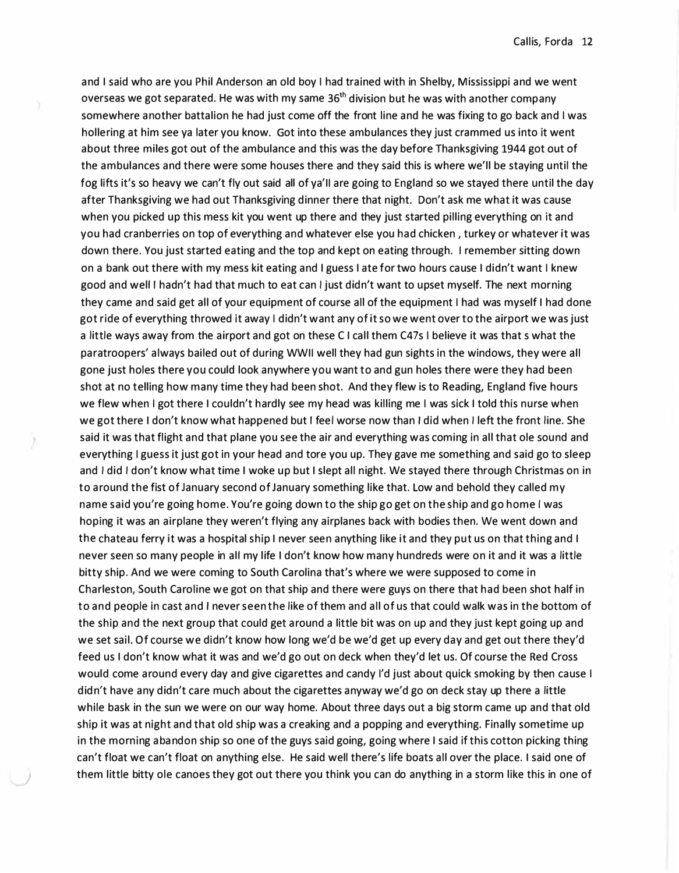and I said who are you Phil Anderson an old boy I had trained with in Shelby, Mississippi and we went overseas we got separated. He was with my same  $36<sup>th</sup>$  division but he was with another company somewhere another battalion he had just come off the front line and he was fixing to go back and I was hollering at him see ya later you know. Got into these ambulances they just crammed us into it went about three miles got out of the ambulance and this was the day before Thanksgiving 1944 got out of the ambulances and there were some houses there and they said this is where we'll be staying until the fog lifts it's so heavy we can't fly out said all of ya'II are going to England so we stayed there until the day after Thanksgiving we had out Thanksgiving dinner there that night. Don't ask me what it was cause when you picked up this mess kit you went up there and they just started pilling everything on it and you had cranberries on top of everything and whatever else you had chicken , turkey or whatever it was down there. You just started eating and the top and kept on eating through. I remember sitting down on a bank out there with my mess kit eating and I guess I ate for two hours cause I didn't want I knew good and welt I hadn't had that much to eat can I just didn't want to upset myself. The next morning they came and said get all of your equipment of course all of the equipment I had was myself I had done got ride of everything throwed it away I didn't want any of it so we went over to the airport we was just a little ways away from the airport and got on these CI call them C47s I believe it was that s what the paratroopers' always bailed out of during WWII well they had gun sights in the windows, they were all gone just holes there you could look anywhere you want to and gun holes there were they had been shot at no telling how many time they had been shot. And they flew is to Reading, England five hours we flew when I got there I couldn't hardly see my head was killing me I was sick I told this nurse when we got there I don't know what happened but I feel worse now than I did when I left the front line. She said it was that flight and that plane you see the air and everything was coming in all that ole sound and everything I guess it just got in your head and tore you up. They gave me something and said go to sleep and I did I don't know what time I woke up but I slept all night. We stayed there through Christmas on in to around the fist of January second of January something like that. Low and behold they called my name said you're going home. You're going down to the ship go get on the ship and go home I was hoping it was an airplane they weren't flying any airplanes back with bodies then. We went down and the chateau ferry it was a hospital ship I never seen anything like it and they put us on that thing and I never seen so many people in alt my life I don't know how many hundreds were on it and it was a little bitty ship. And we were coming to South Carolina that's where we were supposed to come in Charleston, South Caroline we got on that ship and there were guys on there that had been shot half in to and people in cast and I never seen the like of them and all of us that could walk was in the bottom of the ship and the next group that could get around a little bit was on up and they just kept going up and we set sail. Of course we didn't know how long we'd be we'd get up every day and get out there they'd feed us I don't know what it was and we'd go out on deck when they'd let us. Of course the Red Cross would come around every day and give cigarettes and candy I'd just about quick smoking by then cause I didn't have any didn't care much about the cigarettes anyway we'd go on deck stay up there a little while bask in the sun we were on our way home. About three days out a big storm came up and that old ship it was at night and that old ship was a creaking and a popping and everything. Finally sometime up in the morning abandon ship so one of the guys said going, going where I said if this cotton picking thing can't float we can't float on anything else. He said well there's life boats all over the place. I said one of ) them little bitty ole canoes they got out there you think you can do anything in a storm like this in one of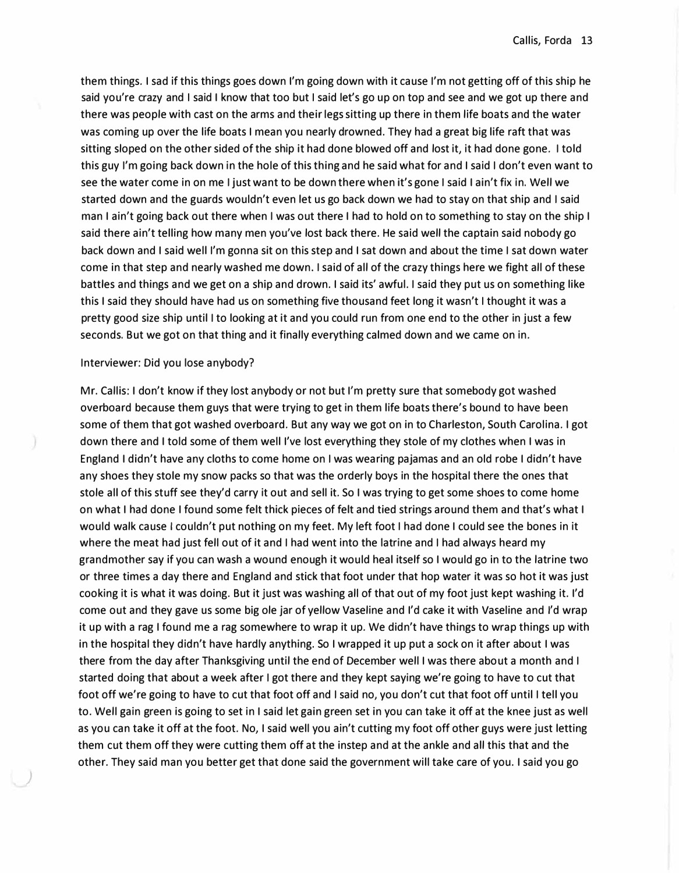them things. I sad if this things goes down I'm going down with it cause I'm not getting off of this ship he said you're crazy and I said I know that too but I said let's go up on top and see and we got up there and there was people with cast on the arms and their legs sitting up there in them life boats and the water was coming up over the life boats I mean you nearly drowned. They had a great big life raft that was sitting sloped on the other sided of the ship it had done blowed off and lost it, it had done gone. I told this guy I'm going back down in the hole of this thing and he said what for and I said I don't even want to see the water come in on me I just want to be down there when it's gone I said I ain't fix in. Well we started down and the guards wouldn't even let us go back down we had to stay on that ship and I said man I ain't going back out there when I was out there I had to hold on to something to stay on the ship I said there ain't telling how many men you've lost back there. He said well the captain said nobody go back down and I said well I'm gonna sit on this step and I sat down and about the time I sat down water come in that step and nearly washed me down. I said of all of the crazy things here we fight all of these battles and things and we get on a ship and drown. I said its' awful. I said they put us on something like this I said they should have had us on something five thousand feet long it wasn't I thought it was a pretty good size ship until I to looking at it and you could run from one end to the other in just a few seconds. But we got on that thing and it finally everything calmed down and we came on in.

#### Interviewer: Did you lose anybody?

*)* 

Mr. Callis: I don't know if they lost anybody or not but I'm pretty sure that somebody got washed overboard because them guys that were trying to get in them life boats there's bound to have been some of them that got washed overboard. But any way we got on in to Charleston, South Carolina. I got down there and I told some of them well I've lost everything they stole of my clothes when I was in England I didn't have any cloths to come home on I was wearing pajamas and an old robe I didn't have any shoes they stole my snow packs so that was the orderly boys in the hospital there the ones that stole all of this stuff see they'd carry it out and sell it. So I was trying to get some shoes to come home on what I had done I found some felt thick pieces of felt and tied strings around them and that's what I would walk cause I couldn't put nothing on my feet. My left foot I had done I could see the bones in it where the meat had just fell out of it and I had went into the latrine and I had always heard my grandmother say if you can wash a wound enough it would heal itself so I would go in to the latrine two or three times a day there and England and stick that foot under that hop water it was so hot it was just cooking it is what it was doing. But it just was washing all of that out of my foot just kept washing it. I'd come out and they gave us some big ole jar of yellow Vaseline and I'd cake it with Vaseline and I'd wrap it up with a rag I found me a rag somewhere to wrap it up. We didn't have things to wrap things up with in the hospital they didn't have hardly anything. So I wrapped it up put a sock on it after about I was there from the day after Thanksgiving until the end of December well I was there about a month and I started doing that about a week after I got there and they kept saying we're going to have to cut that foot off we're going to have to cut that foot off and I said no, you don't cut that foot off until I tell you to. Well gain green is going to set in I said let gain green set in you can take it off at the knee just as well as you can take it off at the foot. No, I said well you ain't cutting my foot off other guys were just letting them cut them off they were cutting them off at the instep and at the ankle and all this that and the other. They said man you better get that done said the government will take care of you. I said you go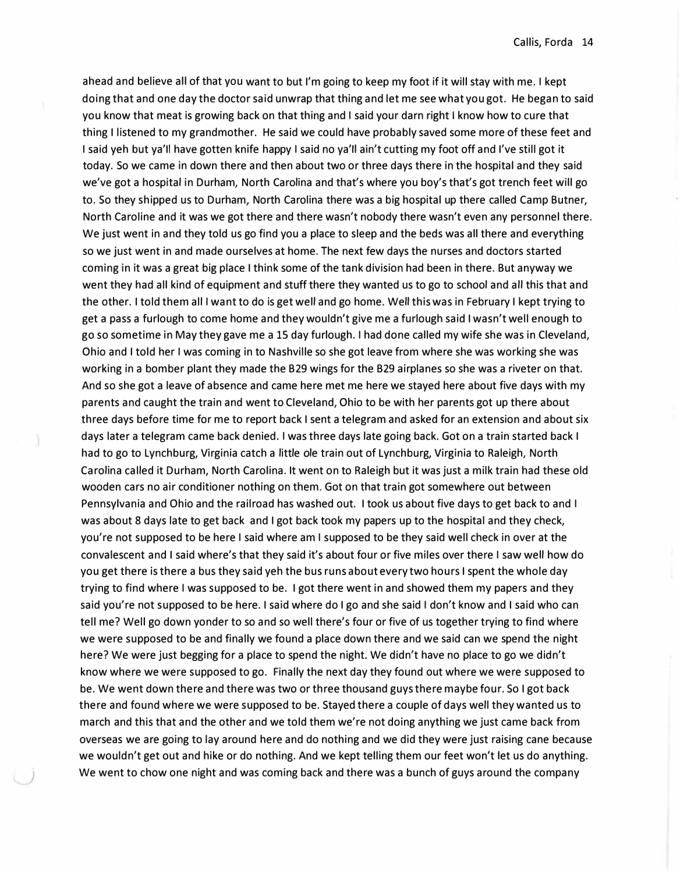ahead and believe all of that you want to but I'm going to keep my foot if it will stay with me. I kept doing that and one day the doctor said unwrap that thing and let me see what you got. He began to said you know that meat is growing back on that thing and I said your darn right I know how to cure that thing I listened to my grandmother. He said we could have probably saved some more of these feet and I said yeh but ya'll have gotten knife happy I said no ya'll ain't cutting my foot off and I've still got it today. So we came in down there and then about two or three days there in the hospital and they said we've got a hospital in Durham, North Carolina and that's where you boy's that's got trench feet will go to. So they shipped us to Durham, North Carolina there was a big hospital up there called Camp Butner, North Caroline and it was we got there and there wasn't nobody there wasn't even any personnel there. We just went in and they told us go find you a place to sleep and the beds was all there and everything so we just went in and made ourselves at home. The next few days the nurses and doctors started coming in it was a great big place I think some of the tank division had been in there. But anyway we went they had all kind of equipment and stuff there they wanted us to go to school and all this that and the other. I told them all I want to do is get well and go home. Well this was in February I kept trying to get a pass a furlough to come home and they wouldn't give me a furlough said I wasn't well enough to go so sometime in May they gave me a 15 day furlough. I had done called my wife she was in Cleveland, Ohio and I told her I was coming in to Nashville so she got leave from where she was working she was working in a bomber plant they made the B29 wings for the B29 airplanes so she was a riveter on that. And so she got a leave of absence and came here met me here we stayed here about five days with my parents and caught the train and went to Cleveland, Ohio to be with her parents got up there about three days before time for me to report back I sent a telegram and asked for an extension and about six days later a telegram came back denied. I was three days late going back. Got on a train started back I had to go to Lynchburg, Virginia catch a little ole train out of Lynchburg, Virginia to Raleigh, North Carolina called it Durham, North Carolina. It went on to Raleigh but it was just a milk train had these old wooden cars no air conditioner nothing on them. Got on that train got somewhere out between Pennsylvania and Ohio and the railroad has washed out. I took us about five days to get back to and I was about 8 days late to get back and I got back took my papers up to the hospital and they check, you're not supposed to be here I said where am I supposed to be they said well check in over at the convalescent and I said where's that they said it's about four or five miles over there I saw well how do you get there is there a bus they said yeh the bus runs about every two hours I spent the whole day trying to find where I was supposed to be. I got there went in and showed them my papers and they said you're not supposed to be here. I said where do I go and she said I don't know and I said who can tell me? Well go down yonder to so and so well there's four or five of us together trying to find where we were supposed to be and finally we found a place down there and we said can we spend the night here? We were just begging for a place to spend the night. We didn't have no place to go we didn't know where we were supposed to go. Finally the next day they found out where we were supposed to be. We went down there and there was two or three thousand guys there maybe four. So I got back there and found where we were supposed to be. Stayed there a couple of days well they wanted us to march and this that and the other and we told them we're not doing anything we just came back from overseas we are going to lay around here and do nothing and we did they were just raising cane because we wouldn't get out and hike or do nothing. And we kept telling them our feet won't let us do anything. ) We went to chow one night and was coming back and there was a bunch of guys around the company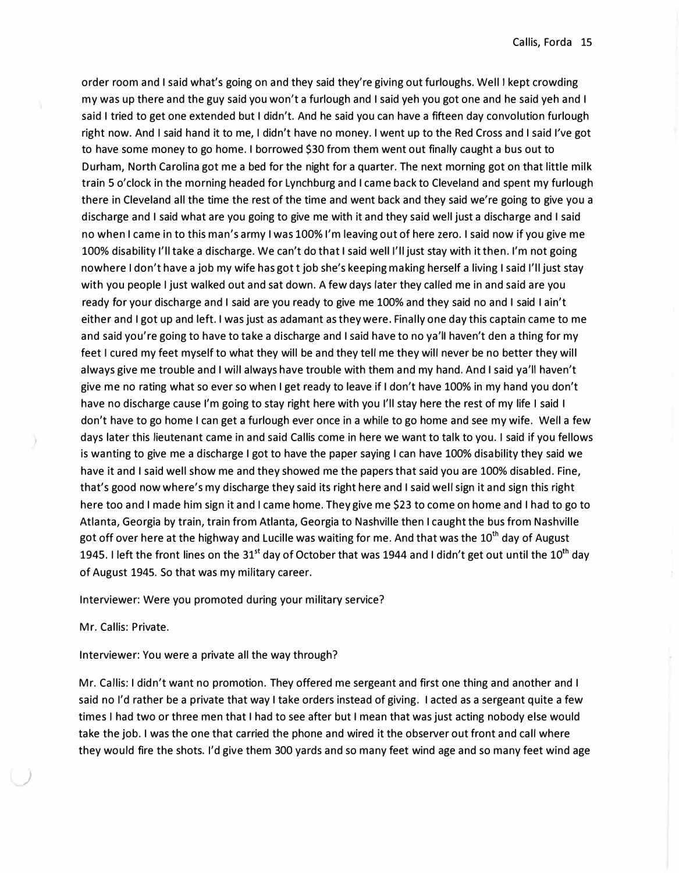order room and I said what's going on and they said they're giving out furloughs. Well I kept crowding my was up there and the guy said you won't a furlough and I said yeh you got one and he said yeh and I said I tried to get one extended but I didn't. And he said you can have a fifteen day convolution furlough right now. And I said hand it to me, I didn't have no money. I went up to the Red Cross and I said I've got to have some money to go home. I borrowed \$30 from them went out finally caught a bus out to Durham, North Carolina got me a bed for the night for a quarter. The next morning got on that little milk train 5 o'clock in the morning headed for Lynchburg and I came back to Cleveland and spent my furlough there in Cleveland all the time the rest of the time and went back and they said we're going to give you a discharge and I said what are you going to give me with it and they said well just a discharge and I said no when I came in to this man's army I was 100% I'm leaving out of here zero. I said now if you give me 100% disability I'll take a discharge. We can't do that I said well I'll just stay with it then. I'm not going nowhere I don't have a job my wife has got t job she's keeping making herself a living I said I'll just stay with you people I just walked out and sat down. A few days later they called me in and said are you ready for your discharge and I said are you ready to give me 100% and they said no and I said I ain't either and I got up and left. I was just as adamant as they were. Finally one day this captain came to me and said you're going to have to take a discharge and I said have to no ya'll haven't den a thing for my feet I cured my feet myself to what they will be and they tell me they will never be no better they will always give me trouble and I will always have trouble with them and my hand. And I said ya'll haven't give me no rating what so ever so when I get ready to leave if I don't have 100% in my hand you don't have no discharge cause I'm going to stay right here with you I'll stay here the rest of my life I said I don't have to go home I can get a furlough ever once in a while to go home and see my wife. Well a few days later this lieutenant came in and said Callis come in here we want to talk to you. I said if you fellows is wanting to give me a discharge I got to have the paper saying I can have 100% disability they said we have it and I said well show me and they showed me the papers that said you are 100% disabled. Fine, that's good now where's my discharge they said its right here and I said well sign it and sign this right here too and I made him sign it and I came home. They give me \$23 to come on home and I had to go to Atlanta, Georgia by train, train from Atlanta, Georgia to Nashville then I caught the bus from Nashville got off over here at the highway and Lucille was waiting for me. And that was the  $10^{th}$  day of August 1945. I left the front lines on the 31<sup>st</sup> day of October that was 1944 and I didn't get out until the 10<sup>th</sup> day of August 1945. So that was my military career.

Interviewer: Were you promoted during your military service?

Mr. Callis: Private.

Interviewer: You were a private all the way through?

Mr. Callis: I didn't want no promotion. They offered me sergeant and first one thing and another and I said no I'd rather be a private that way I take orders instead of giving. I acted as a sergeant quite a few times I had two or three men that I had to see after but I mean that was just acting nobody else would take the job. I was the one that carried the phone and wired it the observer out front and call where they would fire the shots. I'd give them 300 yards and so many feet wind age and so many feet wind age

*)*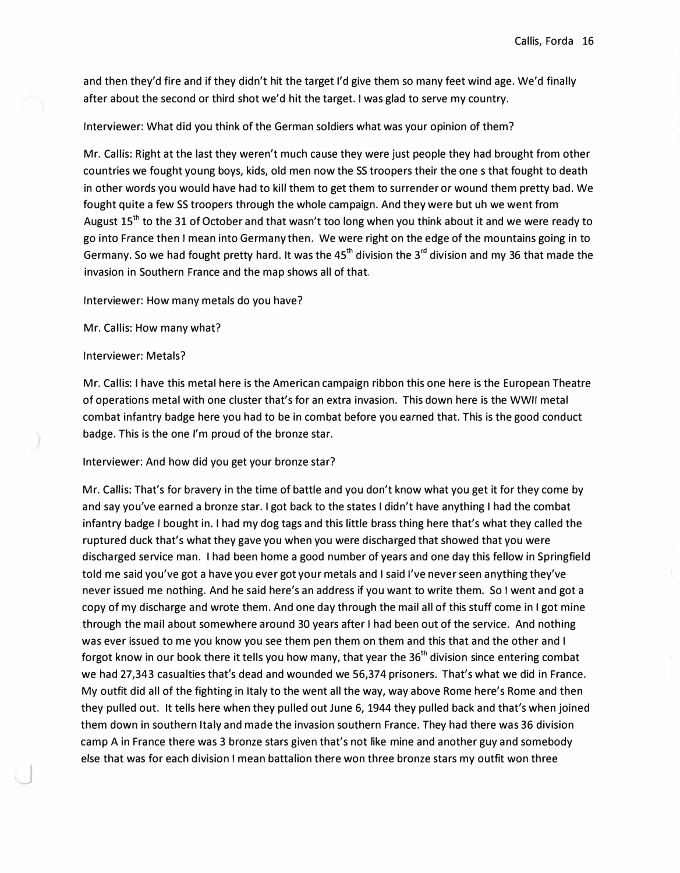and then they'd fire and if they didn't hit the target I'd give them so many feet wind age. We'd finally after about the second or third shot we'd hit the target. I was glad to serve my country.

# Interviewer: What did you think of the German soldiers what was your opinion of them?

Mr. Callis: Right at the last they weren't much cause they were just people they had brought from other countries we fought young boys, kids, old men now the SS troopers their the one s that fought to death in other words you would have had to kill them to get them to surrender or wound them pretty bad. We fought quite a few SS troopers through the whole campaign. And they were but uh we went from August 15<sup>th</sup> to the 31 of October and that wasn't too long when you think about it and we were ready to go into France then I mean into Germany then. We were right on the edge of the mountains going in to Germany. So we had fought pretty hard. It was the 45<sup>th</sup> division the 3<sup>rd</sup> division and my 36 that made the invasion in Southern France and the map shows all of that.

Interviewer: How many metals do you have?

Mr. Callis: How many what?

#### Interviewer: Metals?

J

Mr. Callis: I have this metal here is the American campaign ribbon this one here is the European Theatre of operations metal with one cluster that's for an extra invasion. This down here is the WWII metal combat infantry badge here you had to be in combat before you earned that. This is the good conduct badge. This is the one I'm proud of the bronze star.

# Interviewer: And how did you get your bronze star?

Mr. Callis: That's for bravery in the time of battle and you don't know what you get it for they come by and say you've earned a bronze star. I got back to the states I didn't have anything I had the combat infantry badge I bought in. I had my dog tags and this little brass thing here that's what they called the ruptured duck that's what they gave you when you were discharged that showed that you were discharged service man. I had been home a good number of years and one day this fellow in Springfield told me said you've got a have you ever got your metals and I said I've never seen anything they've never issued me nothing. And he said here's an address if you want to write them. So I went and got a copy of my discharge and wrote them. And one day through the mail all of this stuff come in I got mine through the mail about somewhere around 30 years after I had been out of the service. And nothing was ever issued to me you know you see them pen them on them and this that and the other and I forgot know in our book there it tells you how many, that year the 36<sup>th</sup> division since entering combat we had 27,343 casualties that's dead and wounded we 56,374 prisoners. That's what we did in France. My outfit did all of the fighting in Italy to the went all the way, way above Rome here's Rome and then they pulled out. It tells here when they pulled out June 6, 1944 they pulled back and that's when joined them down in southern Italy and made the invasion southern France. They had there was 36 division camp A in France there was 3 bronze stars given that's not like mine and another guy and somebody else that was for each division I mean battalion there won three bronze stars my outfit won three